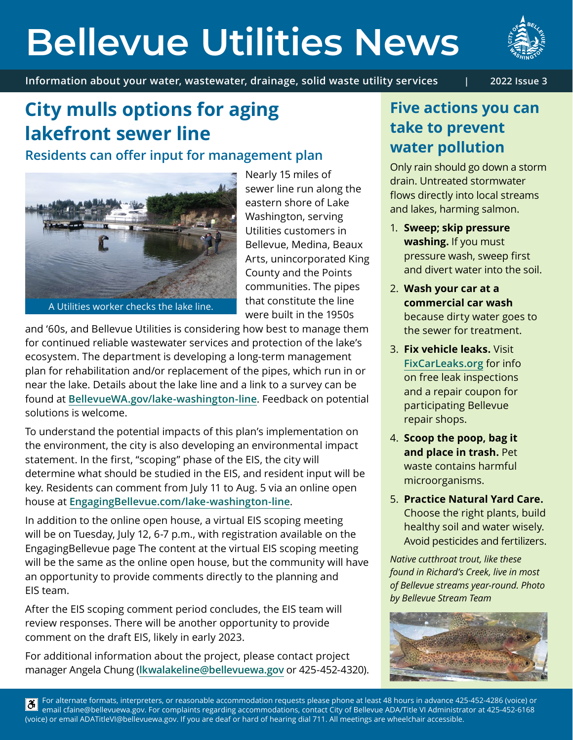# **Bellevue Utilities News**

**Information about your water, wastewater, drainage, solid waste utility services | 2022 Issue 3**



## **City mulls options for aging lakefront sewer line**

**Residents can offer input for management plan** 



A Utilities worker checks the lake line.

Nearly 15 miles of sewer line run along the eastern shore of Lake Washington, serving Utilities customers in Bellevue, Medina, Beaux Arts, unincorporated King County and the Points communities. The pipes that constitute the line were built in the 1950s

and '60s, and Bellevue Utilities is considering how best to manage them for continued reliable wastewater services and protection of the lake's ecosystem. The department is developing a long-term management plan for rehabilitation and/or replacement of the pipes, which run in or near the lake. Details about the lake line and a link to a survey can be found at **[BellevueWA.gov/lake-washington-line](https://bellevuewa.gov/city-government/departments/utilities/utilities-projects-plans-standards/capital-projects/lake-washington-line)**. Feedback on potential solutions is welcome.

To understand the potential impacts of this plan's implementation on the environment, the city is also developing an environmental impact statement. In the first, "scoping" phase of the EIS, the city will determine what should be studied in the EIS, and resident input will be key. Residents can comment from July 11 to Aug. 5 via an online open house at **[EngagingBellevue.com/lake-washington-line](http://EngagingBellevue.com/lake-washington-line)**.

In addition to the online open house, a virtual EIS scoping meeting will be on Tuesday, July 12, 6-7 p.m., with registration available on the EngagingBellevue page The content at the virtual EIS scoping meeting will be the same as the online open house, but the community will have an opportunity to provide comments directly to the planning and EIS team.

After the EIS scoping comment period concludes, the EIS team will review responses. There will be another opportunity to provide comment on the draft EIS, likely in early 2023.

For additional information about the project, please contact project manager Angela Chung (**[lkwalakeline@bellevuewa.gov](mailto:lkwalakeline%40bellevuewa.gov?subject=)** or 425-452-4320).

## **Five actions you can take to prevent water pollution**

Only rain should go down a storm drain. Untreated stormwater flows directly into local streams and lakes, harming salmon.

- 1. **Sweep; skip pressure washing.** If you must pressure wash, sweep first and divert water into the soil.
- 2. **Wash your car at a commercial car wash**  because dirty water goes to the sewer for treatment.
- 3. **Fix vehicle leaks.** Visit **[FixCarLeaks.org](https://fixcarleaks.org/)** for info on free leak inspections and a repair coupon for participating Bellevue repair shops.
- 4. **Scoop the poop, bag it and place in trash.** Pet waste contains harmful microorganisms.
- 5. **Practice Natural Yard Care.**  Choose the right plants, build healthy soil and water wisely. Avoid pesticides and fertilizers.

*Native cutthroat trout, like these found in Richard's Creek, live in most of Bellevue streams year-round. Photo by Bellevue Stream Team*



For alternate formats, interpreters, or reasonable accommodation requests please phone at least 48 hours in advance 425-452-4286 (voice) or <u>ී</u> email cfaine@bellevuewa.gov. For complaints regarding accommodations, contact City of Bellevue ADA/Title VI Administrator at 425-452-6168 (voice) or email ADATitleVI@bellevuewa.gov. If you are deaf or hard of hearing dial 711. All meetings are wheelchair accessible.